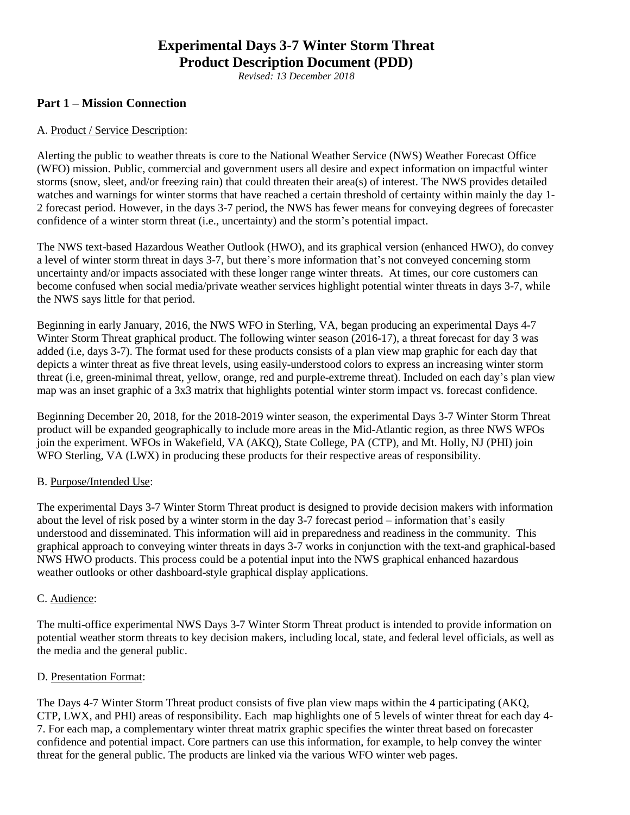# **Experimental Days 3-7 Winter Storm Threat Product Description Document (PDD)**

*Revised: 13 December 2018*

# **Part 1 – Mission Connection**

## A. Product / Service Description:

Alerting the public to weather threats is core to the National Weather Service (NWS) Weather Forecast Office (WFO) mission. Public, commercial and government users all desire and expect information on impactful winter storms (snow, sleet, and/or freezing rain) that could threaten their area(s) of interest. The NWS provides detailed watches and warnings for winter storms that have reached a certain threshold of certainty within mainly the day 1- 2 forecast period. However, in the days 3-7 period, the NWS has fewer means for conveying degrees of forecaster confidence of a winter storm threat (i.e., uncertainty) and the storm's potential impact.

The NWS text-based Hazardous Weather Outlook (HWO), and its graphical version (enhanced HWO), do convey a level of winter storm threat in days 3-7, but there's more information that's not conveyed concerning storm uncertainty and/or impacts associated with these longer range winter threats. At times, our core customers can become confused when social media/private weather services highlight potential winter threats in days 3-7, while the NWS says little for that period.

Beginning in early January, 2016, the NWS WFO in Sterling, VA, began producing an experimental Days 4-7 Winter Storm Threat graphical product. The following winter season (2016-17), a threat forecast for day 3 was added (i.e, days 3-7). The format used for these products consists of a plan view map graphic for each day that depicts a winter threat as five threat levels, using easily-understood colors to express an increasing winter storm threat (i.e, green-minimal threat, yellow, orange, red and purple-extreme threat). Included on each day's plan view map was an inset graphic of a 3x3 matrix that highlights potential winter storm impact vs. forecast confidence.

Beginning December 20, 2018, for the 2018-2019 winter season, the experimental Days 3-7 Winter Storm Threat product will be expanded geographically to include more areas in the Mid-Atlantic region, as three NWS WFOs join the experiment. WFOs in Wakefield, VA (AKQ), State College, PA (CTP), and Mt. Holly, NJ (PHI) join WFO Sterling, VA (LWX) in producing these products for their respective areas of responsibility.

#### B. Purpose/Intended Use:

The experimental Days 3-7 Winter Storm Threat product is designed to provide decision makers with information about the level of risk posed by a winter storm in the day 3-7 forecast period – information that's easily understood and disseminated. This information will aid in preparedness and readiness in the community. This graphical approach to conveying winter threats in days 3-7 works in conjunction with the text-and graphical-based NWS HWO products. This process could be a potential input into the NWS graphical enhanced hazardous weather outlooks or other dashboard-style graphical display applications.

#### C. Audience:

The multi-office experimental NWS Days 3-7 Winter Storm Threat product is intended to provide information on potential weather storm threats to key decision makers, including local, state, and federal level officials, as well as the media and the general public.

#### D. Presentation Format:

The Days 4-7 Winter Storm Threat product consists of five plan view maps within the 4 participating (AKQ, CTP, LWX, and PHI) areas of responsibility. Each map highlights one of 5 levels of winter threat for each day 4- 7. For each map, a complementary winter threat matrix graphic specifies the winter threat based on forecaster confidence and potential impact. Core partners can use this information, for example, to help convey the winter threat for the general public. The products are linked via the various WFO winter web pages.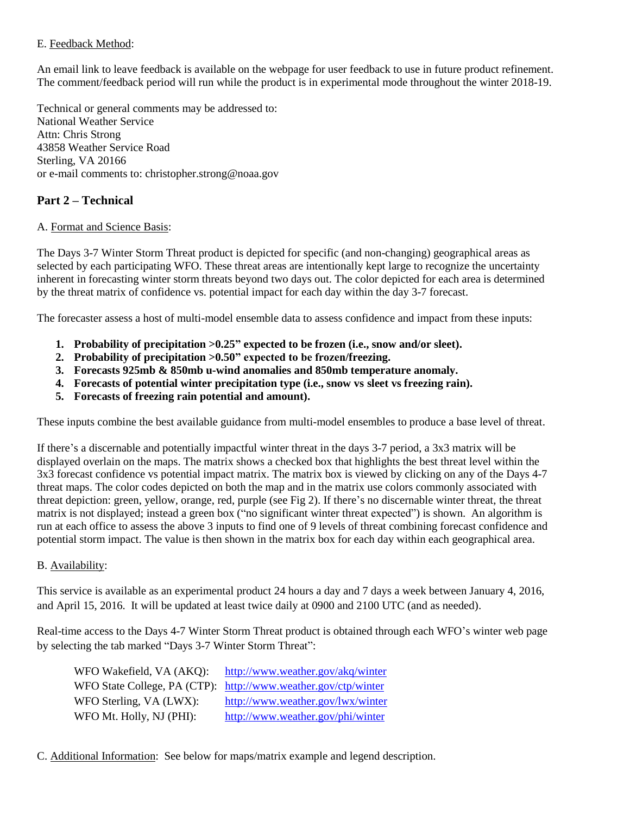## E. Feedback Method:

An email link to leave feedback is available on the webpage for user feedback to use in future product refinement. The comment/feedback period will run while the product is in experimental mode throughout the winter 2018-19.

Technical or general comments may be addressed to: National Weather Service Attn: Chris Strong 43858 Weather Service Road Sterling, VA 20166 or e-mail comments to: christopher.strong@noaa.gov

# **Part 2 – Technical**

## A. Format and Science Basis:

The Days 3-7 Winter Storm Threat product is depicted for specific (and non-changing) geographical areas as selected by each participating WFO. These threat areas are intentionally kept large to recognize the uncertainty inherent in forecasting winter storm threats beyond two days out. The color depicted for each area is determined by the threat matrix of confidence vs. potential impact for each day within the day 3-7 forecast.

The forecaster assess a host of multi-model ensemble data to assess confidence and impact from these inputs:

- **1. Probability of precipitation >0.25" expected to be frozen (i.e., snow and/or sleet).**
- **2. Probability of precipitation >0.50" expected to be frozen/freezing.**
- **3. Forecasts 925mb & 850mb u-wind anomalies and 850mb temperature anomaly.**
- **4. Forecasts of potential winter precipitation type (i.e., snow vs sleet vs freezing rain).**
- **5. Forecasts of freezing rain potential and amount).**

These inputs combine the best available guidance from multi-model ensembles to produce a base level of threat.

If there's a discernable and potentially impactful winter threat in the days 3-7 period, a 3x3 matrix will be displayed overlain on the maps. The matrix shows a checked box that highlights the best threat level within the 3x3 forecast confidence vs potential impact matrix. The matrix box is viewed by clicking on any of the Days 4-7 threat maps. The color codes depicted on both the map and in the matrix use colors commonly associated with threat depiction: green, yellow, orange, red, purple (see Fig 2). If there's no discernable winter threat, the threat matrix is not displayed; instead a green box ("no significant winter threat expected") is shown. An algorithm is run at each office to assess the above 3 inputs to find one of 9 levels of threat combining forecast confidence and potential storm impact. The value is then shown in the matrix box for each day within each geographical area.

# B. Availability:

This service is available as an experimental product 24 hours a day and 7 days a week between January 4, 2016, and April 15, 2016. It will be updated at least twice daily at 0900 and 2100 UTC (and as needed).

Real-time access to the Days 4-7 Winter Storm Threat product is obtained through each WFO's winter web page by selecting the tab marked "Days 3-7 Winter Storm Threat":

WFO Wakefield, VA (AKQ): <http://www.weather.gov/akq/winter> WFO State College, PA (CTP): <http://www.weather.gov/ctp/winter> WFO Sterling, VA (LWX): <http://www.weather.gov/lwx/winter> WFO Mt. Holly, NJ (PHI): <http://www.weather.gov/phi/winter>

C. Additional Information: See below for maps/matrix example and legend description.